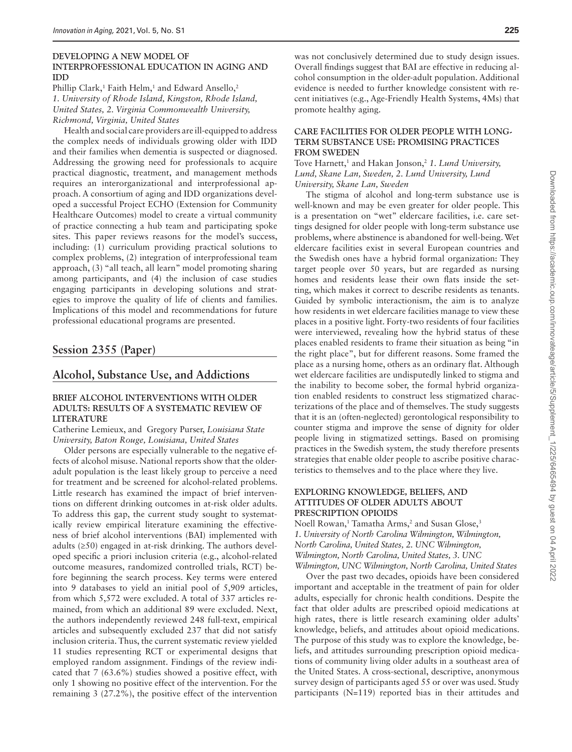#### **DEVELOPING A NEW MODEL OF INTERPROFESSIONAL EDUCATION IN AGING AND IDD**

Phillip Clark,<sup>1</sup> Faith Helm,<sup>1</sup> and Edward Ansello,<sup>2</sup> *1. University of Rhode Island, Kingston, Rhode Island, United States, 2. Virginia Commonwealth University, Richmond, Virginia, United States*

Health and social care providers are ill-equipped to address the complex needs of individuals growing older with IDD and their families when dementia is suspected or diagnosed. Addressing the growing need for professionals to acquire practical diagnostic, treatment, and management methods requires an interorganizational and interprofessional approach. A consortium of aging and IDD organizations developed a successful Project ECHO (Extension for Community Healthcare Outcomes) model to create a virtual community of practice connecting a hub team and participating spoke sites. This paper reviews reasons for the model's success, including: (1) curriculum providing practical solutions to complex problems, (2) integration of interprofessional team approach, (3) "all teach, all learn" model promoting sharing among participants, and (4) the inclusion of case studies engaging participants in developing solutions and strategies to improve the quality of life of clients and families. Implications of this model and recommendations for future professional educational programs are presented.

## **Session 2355 (Paper)**

# **Alcohol, Substance Use, and Addictions**

### **BRIEF ALCOHOL INTERVENTIONS WITH OLDER ADULTS: RESULTS OF A SYSTEMATIC REVIEW OF LITERATURE**

Catherine Lemieux, and Gregory Purser, *Louisiana State University, Baton Rouge, Louisiana, United States*

Older persons are especially vulnerable to the negative effects of alcohol misuse. National reports show that the olderadult population is the least likely group to perceive a need for treatment and be screened for alcohol-related problems. Little research has examined the impact of brief interventions on different drinking outcomes in at-risk older adults. To address this gap, the current study sought to systematically review empirical literature examining the effectiveness of brief alcohol interventions (BAI) implemented with adults (≥50) engaged in at-risk drinking. The authors developed specific a priori inclusion criteria (e.g., alcohol-related outcome measures, randomized controlled trials, RCT) before beginning the search process. Key terms were entered into 9 databases to yield an initial pool of 5,909 articles, from which 5,572 were excluded. A total of 337 articles remained, from which an additional 89 were excluded. Next, the authors independently reviewed 248 full-text, empirical articles and subsequently excluded 237 that did not satisfy inclusion criteria. Thus, the current systematic review yielded 11 studies representing RCT or experimental designs that employed random assignment. Findings of the review indicated that 7 (63.6%) studies showed a positive effect, with only 1 showing no positive effect of the intervention. For the remaining 3 (27.2%), the positive effect of the intervention

was not conclusively determined due to study design issues. Overall findings suggest that BAI are effective in reducing alcohol consumption in the older-adult population. Additional evidence is needed to further knowledge consistent with recent initiatives (e.g., Age-Friendly Health Systems, 4Ms) that promote healthy aging.

#### **CARE FACILITIES FOR OLDER PEOPLE WITH LONG-TERM SUBSTANCE USE: PROMISING PRACTICES FROM SWEDEN**

Tove Harnett,<sup>1</sup> and Hakan Jonson,<sup>2</sup> 1. Lund University, *Lund, Skane Lan, Sweden, 2. Lund University, Lund University, Skane Lan, Sweden*

The stigma of alcohol and long-term substance use is well-known and may be even greater for older people. This is a presentation on "wet" eldercare facilities, i.e. care settings designed for older people with long-term substance use problems, where abstinence is abandoned for well-being. Wet eldercare facilities exist in several European countries and the Swedish ones have a hybrid formal organization: They target people over 50 years, but are regarded as nursing homes and residents lease their own flats inside the setting, which makes it correct to describe residents as tenants. Guided by symbolic interactionism, the aim is to analyze how residents in wet eldercare facilities manage to view these places in a positive light. Forty-two residents of four facilities were interviewed, revealing how the hybrid status of these places enabled residents to frame their situation as being "in the right place", but for different reasons. Some framed the place as a nursing home, others as an ordinary flat. Although wet eldercare facilities are undisputedly linked to stigma and the inability to become sober, the formal hybrid organization enabled residents to construct less stigmatized characterizations of the place and of themselves. The study suggests that it is an (often-neglected) gerontological responsibility to counter stigma and improve the sense of dignity for older people living in stigmatized settings. Based on promising practices in the Swedish system, the study therefore presents strategies that enable older people to ascribe positive characteristics to themselves and to the place where they live.

### **EXPLORING KNOWLEDGE, BELIEFS, AND ATTITUDES OF OLDER ADULTS ABOUT PRESCRIPTION OPIOIDS**

Noell Rowan,<sup>1</sup> Tamatha Arms,<sup>2</sup> and Susan Glose,<sup>3</sup> *1. University of North Carolina Wilmington, Wilmington, North Carolina, United States, 2. UNC Wilmington, Wilmington, North Carolina, United States, 3. UNC Wilmington, UNC Wilmington, North Carolina, United States*

Over the past two decades, opioids have been considered important and acceptable in the treatment of pain for older adults, especially for chronic health conditions. Despite the fact that older adults are prescribed opioid medications at high rates, there is little research examining older adults' knowledge, beliefs, and attitudes about opioid medications. The purpose of this study was to explore the knowledge, beliefs, and attitudes surrounding prescription opioid medications of community living older adults in a southeast area of the United States. A cross-sectional, descriptive, anonymous survey design of participants aged 55 or over was used. Study participants (N=119) reported bias in their attitudes and